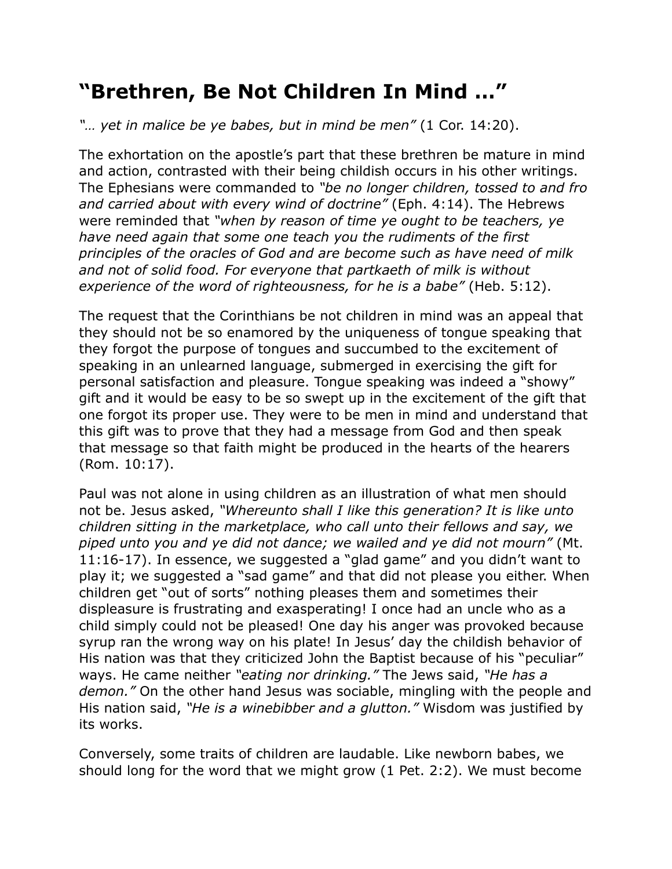## **"Brethren, Be Not Children In Mind …"**

*"… yet in malice be ye babes, but in mind be men"* (1 Cor. 14:20).

The exhortation on the apostle's part that these brethren be mature in mind and action, contrasted with their being childish occurs in his other writings. The Ephesians were commanded to *"be no longer children, tossed to and fro and carried about with every wind of doctrine"* (Eph. 4:14). The Hebrews were reminded that *"when by reason of time ye ought to be teachers, ye have need again that some one teach you the rudiments of the first principles of the oracles of God and are become such as have need of milk and not of solid food. For everyone that partkaeth of milk is without experience of the word of righteousness, for he is a babe"* (Heb. 5:12).

The request that the Corinthians be not children in mind was an appeal that they should not be so enamored by the uniqueness of tongue speaking that they forgot the purpose of tongues and succumbed to the excitement of speaking in an unlearned language, submerged in exercising the gift for personal satisfaction and pleasure. Tongue speaking was indeed a "showy" gift and it would be easy to be so swept up in the excitement of the gift that one forgot its proper use. They were to be men in mind and understand that this gift was to prove that they had a message from God and then speak that message so that faith might be produced in the hearts of the hearers (Rom. 10:17).

Paul was not alone in using children as an illustration of what men should not be. Jesus asked, *"Whereunto shall I like this generation? It is like unto children sitting in the marketplace, who call unto their fellows and say, we piped unto you and ye did not dance; we wailed and ye did not mourn"* (Mt. 11:16-17). In essence, we suggested a "glad game" and you didn't want to play it; we suggested a "sad game" and that did not please you either. When children get "out of sorts" nothing pleases them and sometimes their displeasure is frustrating and exasperating! I once had an uncle who as a child simply could not be pleased! One day his anger was provoked because syrup ran the wrong way on his plate! In Jesus' day the childish behavior of His nation was that they criticized John the Baptist because of his "peculiar" ways. He came neither *"eating nor drinking."* The Jews said, *"He has a demon."* On the other hand Jesus was sociable, mingling with the people and His nation said, *"He is a winebibber and a glutton."* Wisdom was justified by its works.

Conversely, some traits of children are laudable. Like newborn babes, we should long for the word that we might grow (1 Pet. 2:2). We must become